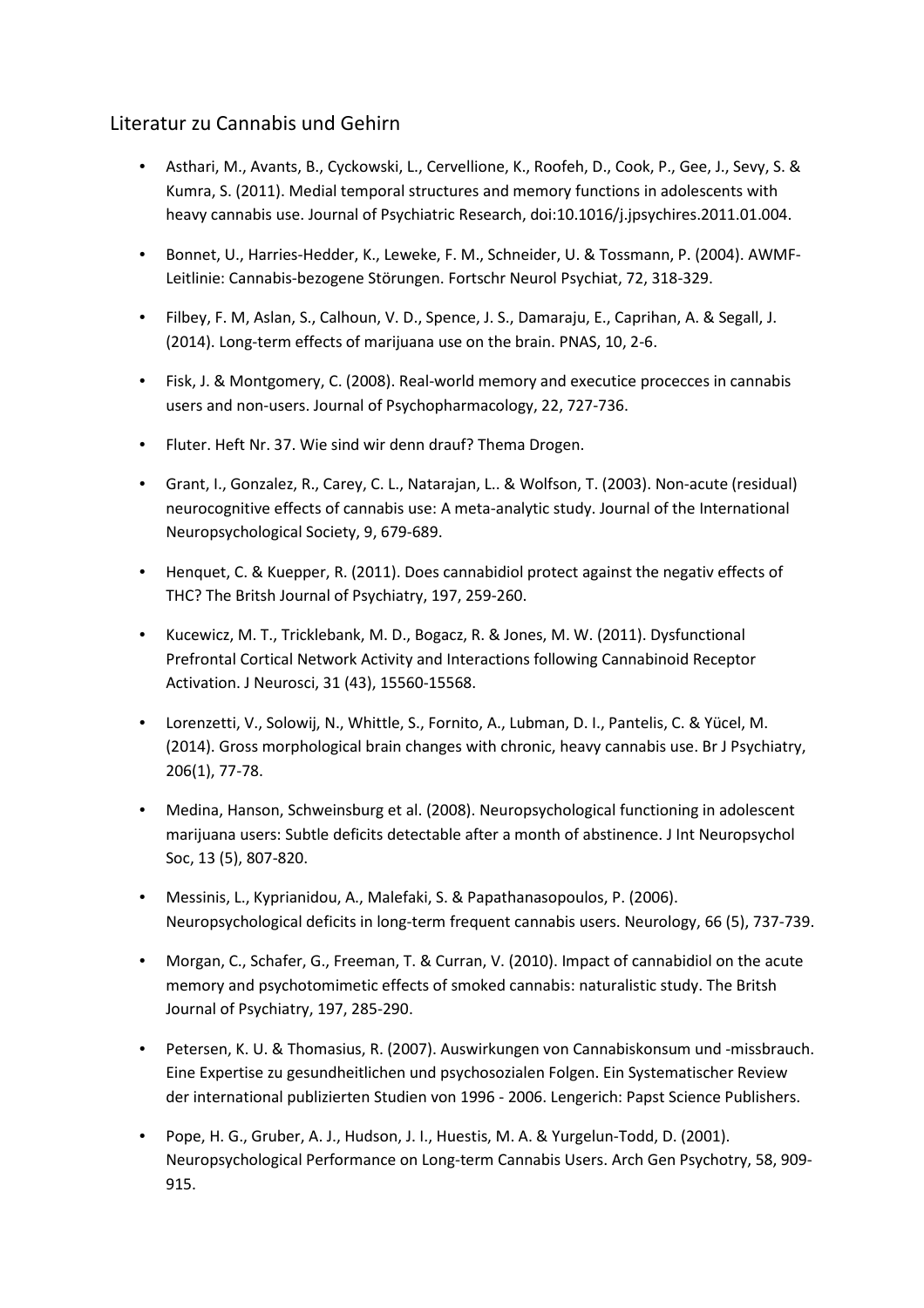## Literatur zu Cannabis und Gehirn

- Asthari, M., Avants, B., Cyckowski, L., Cervellione, K., Roofeh, D., Cook, P., Gee, J., Sevy, S. & Kumra, S. (2011). Medial temporal structures and memory functions in adolescents with heavy cannabis use. Journal of Psychiatric Research, doi:10.1016/j.jpsychires.2011.01.004.
- Bonnet, U., Harries-Hedder, K., Leweke, F. M., Schneider, U. & Tossmann, P. (2004). AWMF-Leitlinie: Cannabis-bezogene Störungen. Fortschr Neurol Psychiat, 72, 318-329.
- Filbey, F. M, Aslan, S., Calhoun, V. D., Spence, J. S., Damaraju, E., Caprihan, A. & Segall, J. (2014). Long-term effects of marijuana use on the brain. PNAS, 10, 2-6.
- Fisk, J. & Montgomery, C. (2008). Real-world memory and executice procecces in cannabis users and non-users. Journal of Psychopharmacology, 22, 727-736.
- Fluter. Heft Nr. 37. Wie sind wir denn drauf? Thema Drogen.
- Grant, I., Gonzalez, R., Carey, C. L., Natarajan, L.. & Wolfson, T. (2003). Non-acute (residual) neurocognitive effects of cannabis use: A meta-analytic study. Journal of the International Neuropsychological Society, 9, 679-689.
- Henquet, C. & Kuepper, R. (2011). Does cannabidiol protect against the negativ effects of THC? The Britsh Journal of Psychiatry, 197, 259-260.
- Kucewicz, M. T., Tricklebank, M. D., Bogacz, R. & Jones, M. W. (2011). Dysfunctional Prefrontal Cortical Network Activity and Interactions following Cannabinoid Receptor Activation. J Neurosci, 31 (43), 15560-15568.
- Lorenzetti, V., Solowij, N., Whittle, S., Fornito, A., Lubman, D. I., Pantelis, C. & Yücel, M. (2014). Gross morphological brain changes with chronic, heavy cannabis use. Br J Psychiatry, 206(1), 77-78.
- Medina, Hanson, Schweinsburg et al. (2008). Neuropsychological functioning in adolescent marijuana users: Subtle deficits detectable after a month of abstinence. J Int Neuropsychol Soc, 13 (5), 807-820.
- Messinis, L., Kyprianidou, A., Malefaki, S. & Papathanasopoulos, P. (2006). Neuropsychological deficits in long-term frequent cannabis users. Neurology, 66 (5), 737-739.
- Morgan, C., Schafer, G., Freeman, T. & Curran, V. (2010). Impact of cannabidiol on the acute memory and psychotomimetic effects of smoked cannabis: naturalistic study. The Britsh Journal of Psychiatry, 197, 285-290.
- Petersen, K. U. & Thomasius, R. (2007). Auswirkungen von Cannabiskonsum und -missbrauch. Eine Expertise zu gesundheitlichen und psychosozialen Folgen. Ein Systematischer Review der international publizierten Studien von 1996 - 2006. Lengerich: Papst Science Publishers.
- Pope, H. G., Gruber, A. J., Hudson, J. I., Huestis, M. A. & Yurgelun-Todd, D. (2001). Neuropsychological Performance on Long-term Cannabis Users. Arch Gen Psychotry, 58, 909- 915.